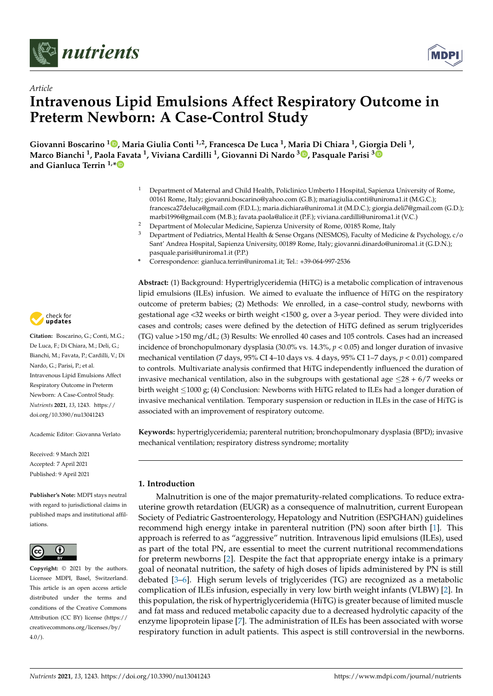



# *Article* **Intravenous Lipid Emulsions Affect Respiratory Outcome in Preterm Newborn: A Case-Control Study**

**Giovanni Boscarino <sup>1</sup> [,](https://orcid.org/0000-0003-2481-0692) Maria Giulia Conti 1,2, Francesca De Luca <sup>1</sup> , Maria Di Chiara <sup>1</sup> , Giorgia Deli <sup>1</sup> , Marco Bianchi <sup>1</sup> , Paola Favata <sup>1</sup> , Viviana Cardilli <sup>1</sup> , Giovanni Di Nardo <sup>3</sup> [,](https://orcid.org/0000-0002-9026-7758) Pasquale Parisi [3](https://orcid.org/0000-0001-9042-8120) and Gianluca Terrin 1,[\\*](https://orcid.org/0000-0003-3541-2876)**

- <sup>1</sup> Department of Maternal and Child Health, Policlinico Umberto I Hospital, Sapienza University of Rome, 00161 Rome, Italy; giovanni.boscarino@yahoo.com (G.B.); mariagiulia.conti@uniroma1.it (M.G.C.); francesca27deluca@gmail.com (F.D.L.); maria.dichiara@uniroma1.it (M.D.C.); giorgia.deli7@gmail.com (G.D.); marbi1996@gmail.com (M.B.); favata.paola@alice.it (P.F.); viviana.cardilli@uniroma1.it (V.C.)
- <sup>2</sup> Department of Molecular Medicine, Sapienza University of Rome, 00185 Rome, Italy
- <sup>3</sup> Department of Pediatrics, Mental Health & Sense Organs (NESMOS), Faculty of Medicine & Psychology, c/o Sant' Andrea Hospital, Sapienza University, 00189 Rome, Italy; giovanni.dinardo@uniroma1.it (G.D.N.); pasquale.parisi@uniroma1.it (P.P.)
- **\*** Correspondence: gianluca.terrin@uniroma1.it; Tel.: +39-064-997-2536

**Abstract:** (1) Background: Hypertriglyceridemia (HiTG) is a metabolic complication of intravenous lipid emulsions (ILEs) infusion. We aimed to evaluate the influence of HiTG on the respiratory outcome of preterm babies; (2) Methods: We enrolled, in a case–control study, newborns with gestational age <32 weeks or birth weight <1500 g, over a 3-year period. They were divided into cases and controls; cases were defined by the detection of HiTG defined as serum triglycerides (TG) value >150 mg/dL; (3) Results: We enrolled 40 cases and 105 controls. Cases had an increased incidence of bronchopulmonary dysplasia (30.0% vs. 14.3%, *p* < 0.05) and longer duration of invasive mechanical ventilation (7 days, 95% CI 4–10 days vs. 4 days, 95% CI 1–7 days, *p* < 0.01) compared to controls. Multivariate analysis confirmed that HiTG independently influenced the duration of invasive mechanical ventilation, also in the subgroups with gestational age  $\leq$ 28 + 6/7 weeks or birth weight ≤1000 g; (4) Conclusion: Newborns with HiTG related to ILEs had a longer duration of invasive mechanical ventilation. Temporary suspension or reduction in ILEs in the case of HiTG is associated with an improvement of respiratory outcome.

**Keywords:** hypertriglyceridemia; parenteral nutrition; bronchopulmonary dysplasia (BPD); invasive mechanical ventilation; respiratory distress syndrome; mortality

## **1. Introduction**

Malnutrition is one of the major prematurity-related complications. To reduce extrauterine growth retardation (EUGR) as a consequence of malnutrition, current European Society of Pediatric Gastroenterology, Hepatology and Nutrition (ESPGHAN) guidelines recommend high energy intake in parenteral nutrition (PN) soon after birth [\[1\]](#page-8-0). This approach is referred to as "aggressive" nutrition. Intravenous lipid emulsions (ILEs), used as part of the total PN, are essential to meet the current nutritional recommendations for preterm newborns [\[2\]](#page-8-1). Despite the fact that appropriate energy intake is a primary goal of neonatal nutrition, the safety of high doses of lipids administered by PN is still debated [\[3](#page-8-2)[–6\]](#page-8-3). High serum levels of triglycerides (TG) are recognized as a metabolic complication of ILEs infusion, especially in very low birth weight infants (VLBW) [\[2\]](#page-8-1). In this population, the risk of hypertriglyceridemia (HiTG) is greater because of limited muscle and fat mass and reduced metabolic capacity due to a decreased hydrolytic capacity of the enzyme lipoprotein lipase [\[7\]](#page-8-4). The administration of ILEs has been associated with worse respiratory function in adult patients. This aspect is still controversial in the newborns.



**Citation:** Boscarino, G.; Conti, M.G.; De Luca, F.; Di Chiara, M.; Deli, G.; Bianchi, M.; Favata, P.; Cardilli, V.; Di Nardo, G.; Parisi, P.; et al. Intravenous Lipid Emulsions Affect Respiratory Outcome in Preterm Newborn: A Case-Control Study. *Nutrients* **2021**, *13*, 1243. [https://](https://doi.org/10.3390/nu13041243) [doi.org/10.3390/nu13041243](https://doi.org/10.3390/nu13041243)

Academic Editor: Giovanna Verlato

Received: 9 March 2021 Accepted: 7 April 2021 Published: 9 April 2021

**Publisher's Note:** MDPI stays neutral with regard to jurisdictional claims in published maps and institutional affiliations.



**Copyright:** © 2021 by the authors. Licensee MDPI, Basel, Switzerland. This article is an open access article distributed under the terms and conditions of the Creative Commons Attribution (CC BY) license (https:/[/](https://creativecommons.org/licenses/by/4.0/) [creativecommons.org/licenses/by/](https://creativecommons.org/licenses/by/4.0/) 4.0/).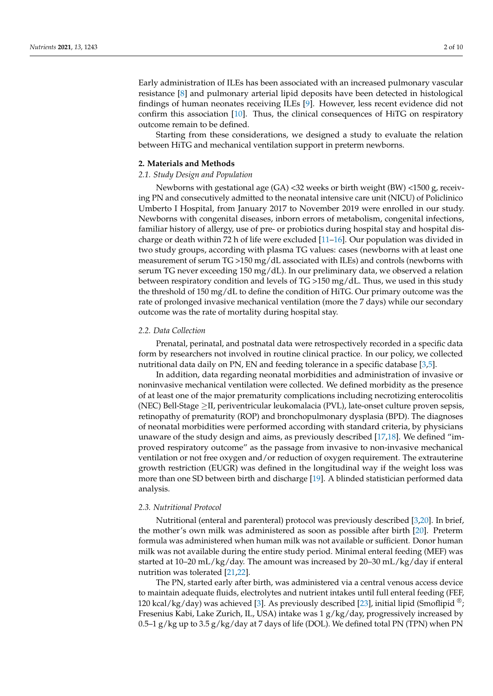Early administration of ILEs has been associated with an increased pulmonary vascular resistance [\[8\]](#page-8-5) and pulmonary arterial lipid deposits have been detected in histological findings of human neonates receiving ILEs [\[9\]](#page-8-6). However, less recent evidence did not confirm this association [\[10\]](#page-8-7). Thus, the clinical consequences of HiTG on respiratory outcome remain to be defined.

Starting from these considerations, we designed a study to evaluate the relation between HiTG and mechanical ventilation support in preterm newborns.

#### **2. Materials and Methods**

### *2.1. Study Design and Population*

Newborns with gestational age (GA) <32 weeks or birth weight (BW) <1500 g, receiving PN and consecutively admitted to the neonatal intensive care unit (NICU) of Policlinico Umberto I Hospital, from January 2017 to November 2019 were enrolled in our study. Newborns with congenital diseases, inborn errors of metabolism, congenital infections, familiar history of allergy, use of pre- or probiotics during hospital stay and hospital discharge or death within 72 h of life were excluded [\[11](#page-8-8)[–16\]](#page-8-9). Our population was divided in two study groups, according with plasma TG values: cases (newborns with at least one measurement of serum TG >150 mg/dL associated with ILEs) and controls (newborns with serum TG never exceeding 150 mg/dL). In our preliminary data, we observed a relation between respiratory condition and levels of TG >150 mg/dL. Thus, we used in this study the threshold of 150 mg/dL to define the condition of HiTG. Our primary outcome was the rate of prolonged invasive mechanical ventilation (more the 7 days) while our secondary outcome was the rate of mortality during hospital stay.

### *2.2. Data Collection*

Prenatal, perinatal, and postnatal data were retrospectively recorded in a specific data form by researchers not involved in routine clinical practice. In our policy, we collected nutritional data daily on PN, EN and feeding tolerance in a specific database [\[3,](#page-8-2)[5\]](#page-8-10).

In addition, data regarding neonatal morbidities and administration of invasive or noninvasive mechanical ventilation were collected. We defined morbidity as the presence of at least one of the major prematurity complications including necrotizing enterocolitis (NEC) Bell-Stage ≥II, periventricular leukomalacia (PVL), late-onset culture proven sepsis, retinopathy of prematurity (ROP) and bronchopulmonary dysplasia (BPD). The diagnoses of neonatal morbidities were performed according with standard criteria, by physicians unaware of the study design and aims, as previously described [\[17,](#page-8-11)[18\]](#page-8-12). We defined "improved respiratory outcome" as the passage from invasive to non-invasive mechanical ventilation or not free oxygen and/or reduction of oxygen requirement. The extrauterine growth restriction (EUGR) was defined in the longitudinal way if the weight loss was more than one SD between birth and discharge [\[19\]](#page-8-13). A blinded statistician performed data analysis.

### *2.3. Nutritional Protocol*

Nutritional (enteral and parenteral) protocol was previously described [\[3,](#page-8-2)[20\]](#page-8-14). In brief, the mother's own milk was administered as soon as possible after birth [\[20\]](#page-8-14). Preterm formula was administered when human milk was not available or sufficient. Donor human milk was not available during the entire study period. Minimal enteral feeding (MEF) was started at 10–20 mL/kg/day. The amount was increased by 20–30 mL/kg/day if enteral nutrition was tolerated [\[21,](#page-8-15)[22\]](#page-9-0).

The PN, started early after birth, was administered via a central venous access device to maintain adequate fluids, electrolytes and nutrient intakes until full enteral feeding (FEF, 120 kcal/kg/day) was achieved [\[3\]](#page-8-2). As previously described [\[23\]](#page-9-1), initial lipid (Smoflipid  $\mathcal{F}$ ; Fresenius Kabi, Lake Zurich, IL, USA) intake was 1 g/kg/day, progressively increased by 0.5–1 g/kg up to 3.5 g/kg/day at 7 days of life (DOL). We defined total PN (TPN) when PN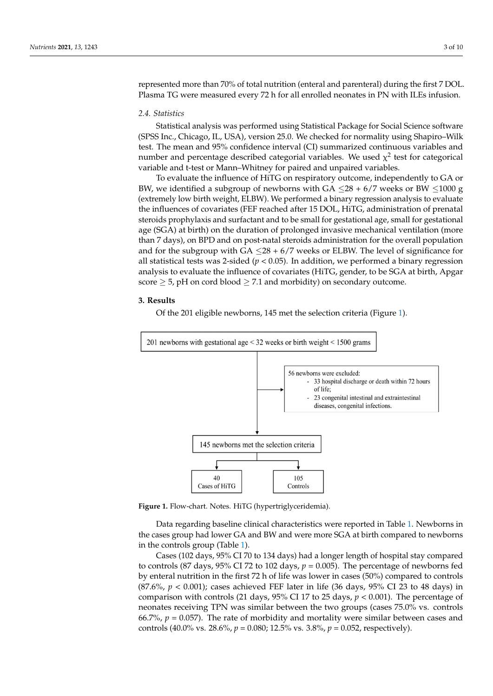represented more than 70% of total nutrition (enteral and parenteral) during the first 7 DOL. Plasma TG were measured every 72 h for all enrolled neonates in PN with ILEs infusion. ILPILSUNUU IIK<br>DI

## *2.4. Statistics 2.4. Statistics*

Statistical analysis was performed using Statistical Package for Social Science software (SPSS Inc., Chicago, IL, USA), version 25.0. We checked for normality using Shapiro–Wilk test. The mean and 95% confidence interval (CI) summarized continuous variables and number and percentage described categorial variables. We used  $\chi^2$  test for categorical variable and t-test or Mann–Whitney for paired and unpaired variables. variable and t-test or Mann–Whitney for paired and unpaired variables.

To evaluate the influence of HiTG on respiratory outcome, independently to GA or To evaluate the influence of HiTG on respiratory outcome, independently to GA or BW, we identified a subgroup of newborns with  $GA \leq 28 + 6/7$  weeks or BW  $\leq 1000$  g (extremely low birth weight, ELBW). We performed a binary regression analysis to evaluate the influences of covariates (FEF reached after 15 DOL, HiTG, administration of prenatal the influences of covariates (FEF reached after 15 DOL, HiTG, administration of prenatal steroids prophylaxis and surfactant and to be small for gestational age, small for gestational age (SGA) at birth) on the duration of prolonged invasive mechanical ventilation (more than 7 days), on BPD and on post-natal steroids administration for the overall population and for the subgroup with  $GA \leq 28 + 6/7$  weeks or ELBW. The level of significance for all statistical tests was 2-sided ( $p < 0.05$ ). In addition, we performed a binary regression analysis to evaluate the influence of covariates (HiTG, gender, to be SGA at birth, Apgar analysis to evaluate the influence of covariates (HiTG, gender, to be SGA at birth, Apgar score  $\geq$  5, pH on cord blood  $\geq$  7.1 and morbidity) on secondary outcome.

## **3. Results 3. Results**

Of the 201 eligible newborns, 145 met the selection criteria (Figure 1). Of the 201 eligible newborns, 145 met the selection criteria (Figur[e 1](#page-2-0)).

<span id="page-2-0"></span>

**Figure 1.** Flow-chart. Notes. HiTG (hypertriglyceridemia). **Figure 1.** Flow-chart. Notes. HiTG (hypertriglyceridemia).

Data regarding baseline clinical characteristics were reported in Ta[ble](#page-3-0) 1. Newborns Data regarding baseline clinical characteristics were reported in Table 1. Newborns in the cases group had lower GA and BW and were more SGA at birth compared to newborns in the controls group [\(T](#page-3-0)able 1).

Cases (102 days, 95% CI 70 to 134 days) had a longer length of hospital stay compared to controls (87 days, 95% CI 72 to 102 days,  $p = 0.005$ ). The percentage of newborns fed by enteral nutrition in the first 72 h of life was lower in cases (50%) compared to controls (87.6%, *p* < 0.001); cases achieved FEF later in life (36 days, 95% CI 23 to 48 days) in comparison with controls (21 days, 95% CI 17 to 25 days, *p* < 0.001). The percentage of neonates receiving TPN was similar between the two groups (cases 75.0% vs. controls 66.7%,  $p = 0.057$ ). The rate of morbidity and mortality were similar between cases and controls (40.0% vs. 28.6%, *p* = 0.080; 12.5% vs. 3.8%, *p* = 0.052, respectively).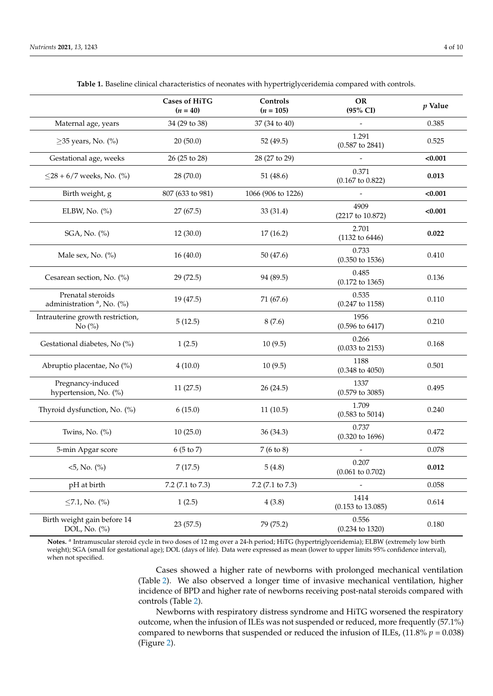<span id="page-3-0"></span>

|                                                            | <b>Cases of HiTG</b><br>$(n = 40)$ | Controls<br>$(n = 105)$ | <b>OR</b><br>(95% CI)                | $p$ Value |
|------------------------------------------------------------|------------------------------------|-------------------------|--------------------------------------|-----------|
| Maternal age, years                                        | 34 (29 to 38)                      | 37 (34 to 40)           |                                      | 0.385     |
| $\geq$ 35 years, No. (%)                                   | 20(50.0)                           | 52 (49.5)               | 1.291<br>$(0.587$ to 2841)           | 0.525     |
| Gestational age, weeks                                     | 26 (25 to 28)                      | 28 (27 to 29)           |                                      | < 0.001   |
| $\leq$ 28 + 6/7 weeks, No. (%)                             | 28 (70.0)                          | 51(48.6)                | 0.371<br>$(0.167 \text{ to } 0.822)$ | 0.013     |
| Birth weight, g                                            | 807 (633 to 981)                   | 1066 (906 to 1226)      |                                      | < 0.001   |
| ELBW, No. $(\%)$                                           | 27(67.5)                           | 33 (31.4)               | 4909<br>(2217 to 10.872)             | < 0.001   |
| SGA, No. (%)                                               | 12(30.0)                           | 17(16.2)                | 2.701<br>(1132 to 6446)              | 0.022     |
| Male sex, No. (%)                                          | 16(40.0)                           | 50 (47.6)               | 0.733<br>$(0.350 \text{ to } 1536)$  | 0.410     |
| Cesarean section, No. (%)                                  | 29 (72.5)                          | 94 (89.5)               | 0.485<br>$(0.172 \text{ to } 1365)$  | 0.136     |
| Prenatal steroids<br>administration <sup>a</sup> , No. (%) | 19 (47.5)                          | 71 (67.6)               | 0.535<br>$(0.247 \text{ to } 1158)$  | 0.110     |
| Intrauterine growth restriction,<br>No $(\%)$              | 5(12.5)                            | 8(7.6)                  | 1956<br>$(0.596 \text{ to } 6417)$   | 0.210     |
| Gestational diabetes, No (%)                               | 1(2.5)                             | 10(9.5)                 | 0.266<br>$(0.033$ to 2153)           | 0.168     |
| Abruptio placentae, No (%)                                 | 4(10.0)                            | 10(9.5)                 | 1188<br>$(0.348 \text{ to } 4050)$   | 0.501     |
| Pregnancy-induced<br>hypertension, No. (%)                 | 11(27.5)                           | 26(24.5)                | 1337<br>$(0.579 \text{ to } 3085)$   | 0.495     |
| Thyroid dysfunction, No. (%)                               | 6(15.0)                            | 11(10.5)                | 1.709<br>$(0.583 \text{ to } 5014)$  | 0.240     |
| Twins, No. $(\%)$                                          | 10(25.0)                           | 36(34.3)                | 0.737<br>$(0.320 \text{ to } 1696)$  | 0.472     |
| 5-min Apgar score                                          | 6 (5 to 7)                         | 7(6 to 8)               |                                      | 0.078     |
| 5, No. (%)                                                 | 7(17.5)                            | 5(4.8)                  | 0.207<br>$(0.061 \text{ to } 0.702)$ | 0.012     |
| pH at birth                                                | 7.2 (7.1 to 7.3)                   | 7.2 (7.1 to 7.3)        |                                      | 0.058     |
| $\leq$ 7.1, No. (%)                                        | 1(2.5)                             | 4(3.8)                  | 1414<br>$(0.153 \text{ to } 13.085)$ | 0.614     |
| Birth weight gain before 14<br>DOL, No. (%)                | 23(57.5)                           | 79 (75.2)               | 0.556<br>$(0.234 \text{ to } 1320)$  | 0.180     |

**Table 1.** Baseline clinical characteristics of neonates with hypertriglyceridemia compared with controls.

Notes. <sup>a</sup> Intramuscular steroid cycle in two doses of 12 mg over a 24-h period; HiTG (hypertriglyceridemia); ELBW (extremely low birth weight); SGA (small for gestational age); DOL (days of life). Data were expressed as mean (lower to upper limits 95% confidence interval), when not specified.

> Cases showed a higher rate of newborns with prolonged mechanical ventilation (Table [2\)](#page-4-0). We also observed a longer time of invasive mechanical ventilation, higher incidence of BPD and higher rate of newborns receiving post-natal steroids compared with controls (Table [2\)](#page-4-0).

> Newborns with respiratory distress syndrome and HiTG worsened the respiratory outcome, when the infusion of ILEs was not suspended or reduced, more frequently (57.1%) compared to newborns that suspended or reduced the infusion of ILEs,  $(11.8\% p = 0.038)$ (Figure [2\)](#page-4-1).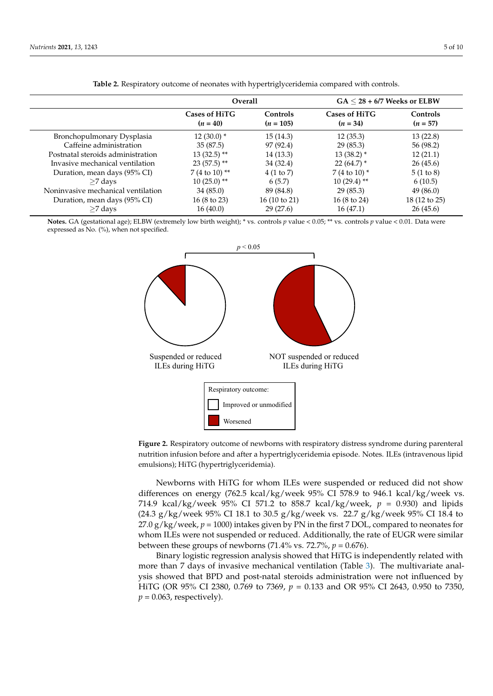<span id="page-4-0"></span>

|                                    | <b>Overall</b>                     |                         | $GA < 28 + 6/7$ Weeks or ELBW |                        |
|------------------------------------|------------------------------------|-------------------------|-------------------------------|------------------------|
|                                    | <b>Cases of HiTG</b><br>$(n = 40)$ | Controls<br>$(n = 105)$ | Cases of HiTG<br>$(n = 34)$   | Controls<br>$(n = 57)$ |
| Bronchopulmonary Dysplasia         | $12(30.0)^*$                       | 15(14.3)                | 12(35.3)                      | 13(22.8)               |
| Caffeine administration            | 35(87.5)                           | 97 (92.4)               | 29(85.3)                      | 56 (98.2)              |
| Postnatal steroids administration  | $13(32.5)$ **                      | 14(13.3)                | $13(38.2)$ *                  | 12(21.1)               |
| Invasive mechanical ventilation    | $23(57.5)$ **                      | 34 (32.4)               | $22(64.7)$ *                  | 26(45.6)               |
| Duration, mean days (95% CI)       | 7 (4 to 10) **                     | 4(1 to 7)               | 7 (4 to 10) $*$               | 5(1 to 8)              |
| $>7$ days                          | $10(25.0)$ **                      | 6(5.7)                  | $10(29.4)$ **                 | 6(10.5)                |
| Noninvasive mechanical ventilation | 34(85.0)                           | 89 (84.8)               | 29(85.3)                      | 49 (86.0)              |
| Duration, mean days (95% CI)       | $16(8 \text{ to } 23)$             | $16(10 \text{ to } 21)$ | $16(8 \text{ to } 24)$        | 18 (12 to 25)          |
| $\geq$ 7 days                      | 16(40.0)                           | 29(27.6)                | 16(47.1)                      | 26(45.6)               |

Table 2. Respiratory outcome of neonates with hypertriglyceridemia compared with controls.

**(***n* **= 105)** 

**(***n* **= 34)** 

**(***n* **= 57)** 

**(***n* **= 40)** 

Notes. GA (gestational age); ELBW (extremely low birth weight); \* vs. controls p value < 0.05; \*\* vs. controls p value < 0.01. Data were expressed as No. (%), when not specified.

<span id="page-4-1"></span>

**Figure 2.** Respiratory outcome of newborns with respiratory distress syndrome during parenteral **Figure 2.** Respiratory outcome of newborns with respiratory distress syndrome during parenteral nutrition infusion before and after a hypertriglyceridemia episode. Notes. ILEs (intravenous lipid nutrition infusion before and after a hypertriglyceridemia episode. Notes. ILEs (intravenous lipid emulsions); HiTG (hypertriglyceridemia). emulsions); HiTG (hypertriglyceridemia).

Newborns with HiTG for whom ILEs were suspended or reduced did not show differences on energy (762.5 kcal/kg/week 95% CI 578.9 to 946.1 kcal/kg/week vs. 714.9 kcal/kg/week 95% CI 571.2 to 858.7 kcal/kg/week,  $p = 0.930$ ) and lipids (24.3 g/kg/week 95% CI 18.1 to 30.5 g/kg/week vs. 22.7 g/kg/week 95% CI 18.4 to  $27.0 \text{ g/kg/week}, p = 1000$  intakes given by PN in the first 7 DOL, compared to neonates for whom ILEs were not suspended or reduced. Additionally, the rate of EUGR were similar between these groups of newborns (71.4% vs. 72.7%,  $p = 0.676$ ).

> Binary logistic regression analysis showed that HiTG is independently related with more than 7 days of invasive mechanical ventilation (Table [3\)](#page-5-0). The multivariate analysis showed that BPD and post-natal steroids administration were not influenced by HiTG (OR 95% CI 2380, 0.769 to 7369, *p* = 0.133 and OR 95% CI 2643, 0.950 to 7350,  $p = 0.063$ , respectively).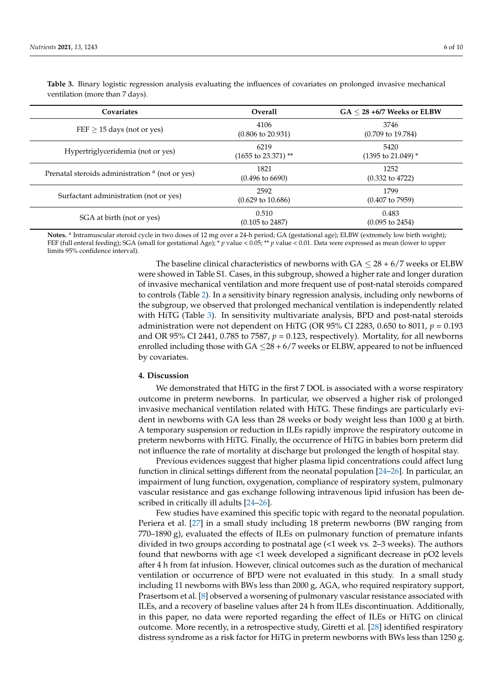| Covariates                                                 | <b>Overall</b>                         | $GA < 28 + 6/7$ Weeks or ELBW         |
|------------------------------------------------------------|----------------------------------------|---------------------------------------|
| $FEF \geq 15$ days (not or yes)                            | 4106<br>$(0.806 \text{ to } 20.931)$   | 3746<br>$(0.709 \text{ to } 19.784)$  |
| Hypertriglyceridemia (not or yes)                          | 6219<br>$(1655 \text{ to } 23.371)$ ** | 5420<br>$(1395 \text{ to } 21.049)$ * |
| Prenatal steroids administration <sup>a</sup> (not or yes) | 1821<br>$(0.496 \text{ to } 6690)$     | 1252<br>$(0.332 \text{ to } 4722)$    |
| Surfactant administration (not or yes)                     | 2592<br>$(0.629 \text{ to } 10.686)$   | 1799<br>$(0.407 \text{ to } 7959)$    |
| SGA at birth (not or yes)                                  | 0.510<br>$(0.105 \text{ to } 2487)$    | 0.483<br>$(0.095 \text{ to } 2454)$   |

<span id="page-5-0"></span>**Table 3.** Binary logistic regression analysis evaluating the influences of covariates on prolonged invasive mechanical ventilation (more than 7 days).

Notes. <sup>a</sup> Intramuscular steroid cycle in two doses of 12 mg over a 24-h period; GA (gestational age); ELBW (extremely low birth weight); FEF (full enteral feeding); SGA (small for gestational Age); \* *p* value < 0.05; \*\* *p* value < 0.01. Data were expressed as mean (lower to upper limits 95% confidence interval).

> The baseline clinical characteristics of newborns with  $GA \leq 28 + 6/7$  weeks or ELBW were showed in Table S1. Cases, in this subgroup, showed a higher rate and longer duration of invasive mechanical ventilation and more frequent use of post-natal steroids compared to controls (Table [2\)](#page-4-0). In a sensitivity binary regression analysis, including only newborns of the subgroup, we observed that prolonged mechanical ventilation is independently related with HiTG (Table [3\)](#page-5-0). In sensitivity multivariate analysis, BPD and post-natal steroids administration were not dependent on HiTG (OR 95% CI 2283, 0.650 to 8011, *p* = 0.193 and OR 95% CI 2441, 0.785 to 7587,  $p = 0.123$ , respectively). Mortality, for all newborns enrolled including those with  $GA \leq 28 + 6/7$  weeks or ELBW, appeared to not be influenced by covariates.

## **4. Discussion**

We demonstrated that HiTG in the first 7 DOL is associated with a worse respiratory outcome in preterm newborns. In particular, we observed a higher risk of prolonged invasive mechanical ventilation related with HiTG. These findings are particularly evident in newborns with GA less than 28 weeks or body weight less than 1000 g at birth. A temporary suspension or reduction in ILEs rapidly improve the respiratory outcome in preterm newborns with HiTG. Finally, the occurrence of HiTG in babies born preterm did not influence the rate of mortality at discharge but prolonged the length of hospital stay.

Previous evidences suggest that higher plasma lipid concentrations could affect lung function in clinical settings different from the neonatal population [\[24](#page-9-2)[–26\]](#page-9-3). In particular, an impairment of lung function, oxygenation, compliance of respiratory system, pulmonary vascular resistance and gas exchange following intravenous lipid infusion has been described in critically ill adults [\[24–](#page-9-2)[26\]](#page-9-3).

Few studies have examined this specific topic with regard to the neonatal population. Periera et al. [\[27\]](#page-9-4) in a small study including 18 preterm newborns (BW ranging from 770–1890 g), evaluated the effects of ILEs on pulmonary function of premature infants divided in two groups according to postnatal age (<1 week vs. 2–3 weeks). The authors found that newborns with age <1 week developed a significant decrease in pO2 levels after 4 h from fat infusion. However, clinical outcomes such as the duration of mechanical ventilation or occurrence of BPD were not evaluated in this study. In a small study including 11 newborns with BWs less than 2000 g, AGA, who required respiratory support, Prasertsom et al. [\[8\]](#page-8-5) observed a worsening of pulmonary vascular resistance associated with ILEs, and a recovery of baseline values after 24 h from ILEs discontinuation. Additionally, in this paper, no data were reported regarding the effect of ILEs or HiTG on clinical outcome. More recently, in a retrospective study, Giretti et al. [\[28\]](#page-9-5) identified respiratory distress syndrome as a risk factor for HiTG in preterm newborns with BWs less than 1250 g.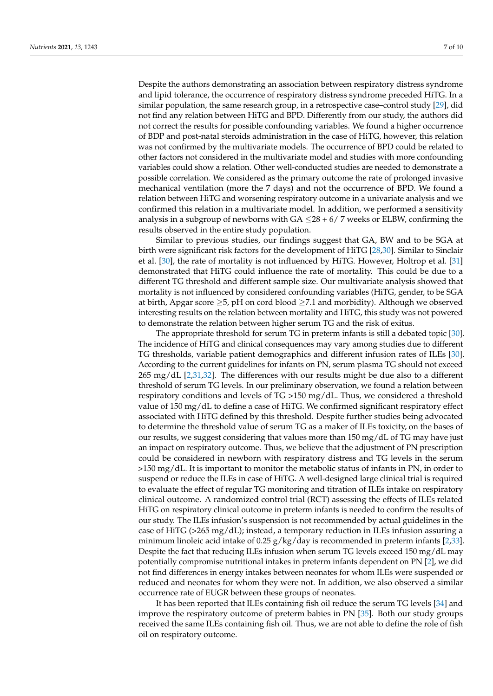Despite the authors demonstrating an association between respiratory distress syndrome and lipid tolerance, the occurrence of respiratory distress syndrome preceded HiTG. In a similar population, the same research group, in a retrospective case–control study [\[29\]](#page-9-6), did not find any relation between HiTG and BPD. Differently from our study, the authors did not correct the results for possible confounding variables. We found a higher occurrence of BDP and post-natal steroids administration in the case of HiTG, however, this relation was not confirmed by the multivariate models. The occurrence of BPD could be related to other factors not considered in the multivariate model and studies with more confounding variables could show a relation. Other well-conducted studies are needed to demonstrate a possible correlation. We considered as the primary outcome the rate of prolonged invasive mechanical ventilation (more the 7 days) and not the occurrence of BPD. We found a relation between HiTG and worsening respiratory outcome in a univariate analysis and we confirmed this relation in a multivariate model. In addition, we performed a sensitivity analysis in a subgroup of newborns with  $GA \leq 28 + 6/7$  weeks or ELBW, confirming the results observed in the entire study population.

Similar to previous studies, our findings suggest that GA, BW and to be SGA at birth were significant risk factors for the development of HiTG [\[28,](#page-9-5)[30\]](#page-9-7). Similar to Sinclair et al. [\[30\]](#page-9-7), the rate of mortality is not influenced by HiTG. However, Holtrop et al. [\[31\]](#page-9-8) demonstrated that HiTG could influence the rate of mortality. This could be due to a different TG threshold and different sample size. Our multivariate analysis showed that mortality is not influenced by considered confounding variables (HiTG, gender, to be SGA at birth, Apgar score  $\geq$ 5, pH on cord blood  $\geq$ 7.1 and morbidity). Although we observed interesting results on the relation between mortality and HiTG, this study was not powered to demonstrate the relation between higher serum TG and the risk of exitus.

The appropriate threshold for serum TG in preterm infants is still a debated topic [\[30\]](#page-9-7). The incidence of HiTG and clinical consequences may vary among studies due to different TG thresholds, variable patient demographics and different infusion rates of ILEs [\[30\]](#page-9-7). According to the current guidelines for infants on PN, serum plasma TG should not exceed 265 mg/dL [\[2,](#page-8-1)[31,](#page-9-8)[32\]](#page-9-9). The differences with our results might be due also to a different threshold of serum TG levels. In our preliminary observation, we found a relation between respiratory conditions and levels of TG >150 mg/dL. Thus, we considered a threshold value of 150 mg/dL to define a case of HiTG. We confirmed significant respiratory effect associated with HiTG defined by this threshold. Despite further studies being advocated to determine the threshold value of serum TG as a maker of ILEs toxicity, on the bases of our results, we suggest considering that values more than 150 mg/dL of TG may have just an impact on respiratory outcome. Thus, we believe that the adjustment of PN prescription could be considered in newborn with respiratory distress and TG levels in the serum >150 mg/dL. It is important to monitor the metabolic status of infants in PN, in order to suspend or reduce the ILEs in case of HiTG. A well-designed large clinical trial is required to evaluate the effect of regular TG monitoring and titration of ILEs intake on respiratory clinical outcome. A randomized control trial (RCT) assessing the effects of ILEs related HiTG on respiratory clinical outcome in preterm infants is needed to confirm the results of our study. The ILEs infusion's suspension is not recommended by actual guidelines in the case of HiTG ( $>265$  mg/dL); instead, a temporary reduction in ILEs infusion assuring a minimum linoleic acid intake of 0.25  $g/kg/day$  is recommended in preterm infants [\[2](#page-8-1)[,33\]](#page-9-10). Despite the fact that reducing ILEs infusion when serum TG levels exceed 150 mg/dL may potentially compromise nutritional intakes in preterm infants dependent on PN [\[2\]](#page-8-1), we did not find differences in energy intakes between neonates for whom ILEs were suspended or reduced and neonates for whom they were not. In addition, we also observed a similar occurrence rate of EUGR between these groups of neonates.

It has been reported that ILEs containing fish oil reduce the serum TG levels [\[34\]](#page-9-11) and improve the respiratory outcome of preterm babies in PN [\[35\]](#page-9-12). Both our study groups received the same ILEs containing fish oil. Thus, we are not able to define the role of fish oil on respiratory outcome.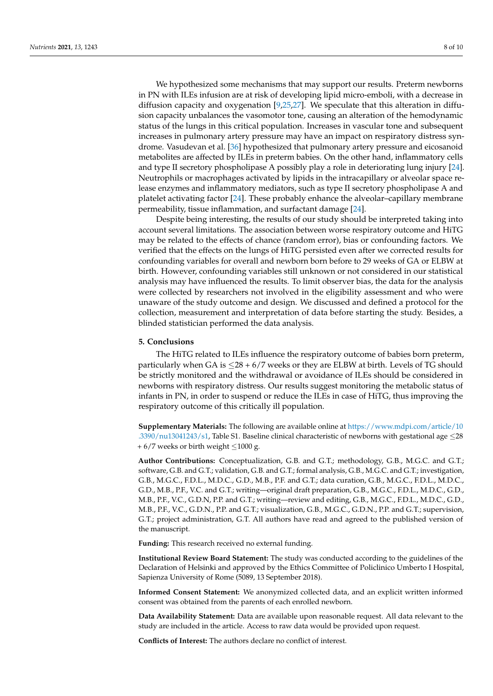We hypothesized some mechanisms that may support our results. Preterm newborns in PN with ILEs infusion are at risk of developing lipid micro-emboli, with a decrease in diffusion capacity and oxygenation [\[9](#page-8-6)[,25](#page-9-13)[,27\]](#page-9-4). We speculate that this alteration in diffusion capacity unbalances the vasomotor tone, causing an alteration of the hemodynamic status of the lungs in this critical population. Increases in vascular tone and subsequent increases in pulmonary artery pressure may have an impact on respiratory distress syndrome. Vasudevan et al. [\[36\]](#page-9-14) hypothesized that pulmonary artery pressure and eicosanoid metabolites are affected by ILEs in preterm babies. On the other hand, inflammatory cells and type II secretory phospholipase A possibly play a role in deteriorating lung injury [\[24\]](#page-9-2). Neutrophils or macrophages activated by lipids in the intracapillary or alveolar space release enzymes and inflammatory mediators, such as type II secretory phospholipase A and platelet activating factor [\[24\]](#page-9-2). These probably enhance the alveolar–capillary membrane permeability, tissue inflammation, and surfactant damage [\[24\]](#page-9-2).

Despite being interesting, the results of our study should be interpreted taking into account several limitations. The association between worse respiratory outcome and HiTG may be related to the effects of chance (random error), bias or confounding factors. We verified that the effects on the lungs of HiTG persisted even after we corrected results for confounding variables for overall and newborn born before to 29 weeks of GA or ELBW at birth. However, confounding variables still unknown or not considered in our statistical analysis may have influenced the results. To limit observer bias, the data for the analysis were collected by researchers not involved in the eligibility assessment and who were unaware of the study outcome and design. We discussed and defined a protocol for the collection, measurement and interpretation of data before starting the study. Besides, a blinded statistician performed the data analysis.

## **5. Conclusions**

The HiTG related to ILEs influence the respiratory outcome of babies born preterm, particularly when GA is  $\leq$ 28 + 6/7 weeks or they are ELBW at birth. Levels of TG should be strictly monitored and the withdrawal or avoidance of ILEs should be considered in newborns with respiratory distress. Our results suggest monitoring the metabolic status of infants in PN, in order to suspend or reduce the ILEs in case of HiTG, thus improving the respiratory outcome of this critically ill population.

**Supplementary Materials:** The following are available online at [https://www.mdpi.com/article/10](https://www.mdpi.com/article/10.3390/nu13041243/s1) [.3390/nu13041243/s1,](https://www.mdpi.com/article/10.3390/nu13041243/s1) Table S1. Baseline clinical characteristic of newborns with gestational age ≤28 +  $6/7$  weeks or birth weight  $\leq$ 1000 g.

**Author Contributions:** Conceptualization, G.B. and G.T.; methodology, G.B., M.G.C. and G.T.; software, G.B. and G.T.; validation, G.B. and G.T.; formal analysis, G.B., M.G.C. and G.T.; investigation, G.B., M.G.C., F.D.L., M.D.C., G.D., M.B., P.F. and G.T.; data curation, G.B., M.G.C., F.D.L., M.D.C., G.D., M.B., P.F., V.C. and G.T.; writing—original draft preparation, G.B., M.G.C., F.D.L., M.D.C., G.D., M.B., P.F., V.C., G.D.N, P.P. and G.T.; writing—review and editing, G.B., M.G.C., F.D.L., M.D.C., G.D., M.B., P.F., V.C., G.D.N., P.P. and G.T.; visualization, G.B., M.G.C., G.D.N., P.P. and G.T.; supervision, G.T.; project administration, G.T. All authors have read and agreed to the published version of the manuscript.

**Funding:** This research received no external funding.

**Institutional Review Board Statement:** The study was conducted according to the guidelines of the Declaration of Helsinki and approved by the Ethics Committee of Policlinico Umberto I Hospital, Sapienza University of Rome (5089, 13 September 2018).

**Informed Consent Statement:** We anonymized collected data, and an explicit written informed consent was obtained from the parents of each enrolled newborn.

**Data Availability Statement:** Data are available upon reasonable request. All data relevant to the study are included in the article. Access to raw data would be provided upon request.

**Conflicts of Interest:** The authors declare no conflict of interest.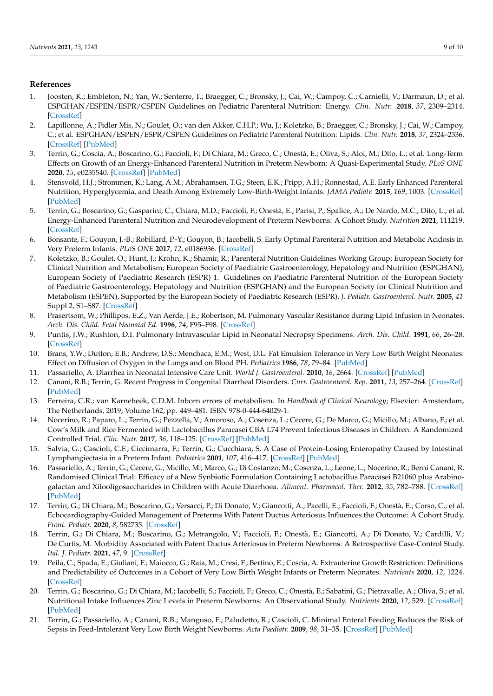## **References**

- <span id="page-8-0"></span>1. Joosten, K.; Embleton, N.; Yan, W.; Senterre, T.; Braegger, C.; Bronsky, J.; Cai, W.; Campoy, C.; Carnielli, V.; Darmaun, D.; et al. ESPGHAN/ESPEN/ESPR/CSPEN Guidelines on Pediatric Parenteral Nutrition: Energy. *Clin. Nutr.* **2018**, *37*, 2309–2314. [\[CrossRef\]](http://doi.org/10.1016/j.clnu.2018.06.944)
- <span id="page-8-1"></span>2. Lapillonne, A.; Fidler Mis, N.; Goulet, O.; van den Akker, C.H.P.; Wu, J.; Koletzko, B.; Braegger, C.; Bronsky, J.; Cai, W.; Campoy, C.; et al. ESPGHAN/ESPEN/ESPR/CSPEN Guidelines on Pediatric Parenteral Nutrition: Lipids. *Clin. Nutr.* **2018**, *37*, 2324–2336. [\[CrossRef\]](http://doi.org/10.1016/j.clnu.2018.06.946) [\[PubMed\]](http://www.ncbi.nlm.nih.gov/pubmed/30143306)
- <span id="page-8-2"></span>3. Terrin, G.; Coscia, A.; Boscarino, G.; Faccioli, F.; Di Chiara, M.; Greco, C.; Onestà, E.; Oliva, S.; Aloi, M.; Dito, L.; et al. Long-Term Effects on Growth of an Energy-Enhanced Parenteral Nutrition in Preterm Newborn: A Quasi-Experimental Study. *PLoS ONE* **2020**, *15*, e0235540. [\[CrossRef\]](http://doi.org/10.1371/journal.pone.0235540) [\[PubMed\]](http://www.ncbi.nlm.nih.gov/pubmed/32628715)
- 4. Stensvold, H.J.; Strommen, K.; Lang, A.M.; Abrahamsen, T.G.; Steen, E.K.; Pripp, A.H.; Ronnestad, A.E. Early Enhanced Parenteral Nutrition, Hyperglycemia, and Death Among Extremely Low-Birth-Weight Infants. *JAMA Pediatr.* **2015**, *169*, 1003. [\[CrossRef\]](http://doi.org/10.1001/jamapediatrics.2015.1667) [\[PubMed\]](http://www.ncbi.nlm.nih.gov/pubmed/26348113)
- <span id="page-8-10"></span>5. Terrin, G.; Boscarino, G.; Gasparini, C.; Chiara, M.D.; Faccioli, F.; Onestà, E.; Parisi, P.; Spalice, A.; De Nardo, M.C.; Dito, L.; et al. Energy-Enhanced Parenteral Nutrition and Neurodevelopment of Preterm Newborns: A Cohort Study. *Nutrition* **2021**, 111219. [\[CrossRef\]](http://doi.org/10.1016/j.nut.2021.111219)
- <span id="page-8-3"></span>6. Bonsante, F.; Gouyon, J.-B.; Robillard, P.-Y.; Gouyon, B.; Iacobelli, S. Early Optimal Parenteral Nutrition and Metabolic Acidosis in Very Preterm Infants. *PLoS ONE* **2017**, *12*, e0186936. [\[CrossRef\]](http://doi.org/10.1371/journal.pone.0186936)
- <span id="page-8-4"></span>7. Koletzko, B.; Goulet, O.; Hunt, J.; Krohn, K.; Shamir, R.; Parenteral Nutrition Guidelines Working Group; European Society for Clinical Nutrition and Metabolism; European Society of Paediatric Gastroenterology, Hepatology and Nutrition (ESPGHAN); European Society of Paediatric Research (ESPR) 1. Guidelines on Paediatric Parenteral Nutrition of the European Society of Paediatric Gastroenterology, Hepatology and Nutrition (ESPGHAN) and the European Society for Clinical Nutrition and Metabolism (ESPEN), Supported by the European Society of Paediatric Research (ESPR). *J. Pediatr. Gastroenterol. Nutr.* **2005**, *41* Suppl 2, S1–S87. [\[CrossRef\]](http://doi.org/10.1097/01.mpg.0000181841.07090.f4)
- <span id="page-8-5"></span>8. Prasertsom, W.; Phillipos, E.Z.; Van Aerde, J.E.; Robertson, M. Pulmonary Vascular Resistance during Lipid Infusion in Neonates. *Arch. Dis. Child. Fetal Neonatal Ed.* **1996**, *74*, F95–F98. [\[CrossRef\]](http://doi.org/10.1136/fn.74.2.F95)
- <span id="page-8-6"></span>9. Puntis, J.W.; Rushton, D.I. Pulmonary Intravascular Lipid in Neonatal Necropsy Specimens. *Arch. Dis. Child.* **1991**, *66*, 26–28. [\[CrossRef\]](http://doi.org/10.1136/adc.66.1_Spec_No.26)
- <span id="page-8-7"></span>10. Brans, Y.W.; Dutton, E.B.; Andrew, D.S.; Menchaca, E.M.; West, D.L. Fat Emulsion Tolerance in Very Low Birth Weight Neonates: Effect on Diffusion of Oxygen in the Lungs and on Blood PH. *Pediatrics* **1986**, *78*, 79–84. [\[PubMed\]](http://www.ncbi.nlm.nih.gov/pubmed/3725504)
- <span id="page-8-8"></span>11. Passariello, A. Diarrhea in Neonatal Intensive Care Unit. *World J. Gastroenterol.* **2010**, *16*, 2664. [\[CrossRef\]](http://doi.org/10.3748/wjg.v16.i21.2664) [\[PubMed\]](http://www.ncbi.nlm.nih.gov/pubmed/20518089)
- 12. Canani, R.B.; Terrin, G. Recent Progress in Congenital Diarrheal Disorders. *Curr. Gastroenterol. Rep.* **2011**, *13*, 257–264. [\[CrossRef\]](http://doi.org/10.1007/s11894-011-0188-6) [\[PubMed\]](http://www.ncbi.nlm.nih.gov/pubmed/21494839)
- 13. Ferreira, C.R.; van Karnebeek, C.D.M. Inborn errors of metabolism. In *Handbook of Clinical Neurology*; Elsevier: Amsterdam, The Netherlands, 2019; Volume 162, pp. 449–481. ISBN 978-0-444-64029-1.
- 14. Nocerino, R.; Paparo, L.; Terrin, G.; Pezzella, V.; Amoroso, A.; Cosenza, L.; Cecere, G.; De Marco, G.; Micillo, M.; Albano, F.; et al. Cow's Milk and Rice Fermented with Lactobacillus Paracasei CBA L74 Prevent Infectious Diseases in Children: A Randomized Controlled Trial. *Clin. Nutr.* **2017**, *36*, 118–125. [\[CrossRef\]](http://doi.org/10.1016/j.clnu.2015.12.004) [\[PubMed\]](http://www.ncbi.nlm.nih.gov/pubmed/26732025)
- 15. Salvia, G.; Cascioli, C.F.; Ciccimarra, F.; Terrin, G.; Cucchiara, S. A Case of Protein-Losing Enteropathy Caused by Intestinal Lymphangiectasia in a Preterm Infant. *Pediatrics* **2001**, *107*, 416–417. [\[CrossRef\]](http://doi.org/10.1542/peds.107.2.416) [\[PubMed\]](http://www.ncbi.nlm.nih.gov/pubmed/11158480)
- <span id="page-8-9"></span>16. Passariello, A.; Terrin, G.; Cecere, G.; Micillo, M.; Marco, G.; Di Costanzo, M.; Cosenza, L.; Leone, L.; Nocerino, R.; Berni Canani, R. Randomised Clinical Trial: Efficacy of a New Synbiotic Formulation Containing Lactobacillus Paracasei B21060 plus Arabinogalactan and Xilooligosaccharides in Children with Acute Diarrhoea. *Aliment. Pharmacol. Ther.* **2012**, *35*, 782–788. [\[CrossRef\]](http://doi.org/10.1111/j.1365-2036.2012.05015.x) [\[PubMed\]](http://www.ncbi.nlm.nih.gov/pubmed/22324448)
- <span id="page-8-11"></span>17. Terrin, G.; Di Chiara, M.; Boscarino, G.; Versacci, P.; Di Donato, V.; Giancotti, A.; Pacelli, E.; Faccioli, F.; Onestà, E.; Corso, C.; et al. Echocardiography-Guided Management of Preterms With Patent Ductus Arteriosus Influences the Outcome: A Cohort Study. *Front. Pediatr.* **2020**, *8*, 582735. [\[CrossRef\]](http://doi.org/10.3389/fped.2020.582735)
- <span id="page-8-12"></span>18. Terrin, G.; Di Chiara, M.; Boscarino, G.; Metrangolo, V.; Faccioli, F.; Onestà, E.; Giancotti, A.; Di Donato, V.; Cardilli, V.; De Curtis, M. Morbidity Associated with Patent Ductus Arteriosus in Preterm Newborns: A Retrospective Case-Control Study. *Ital. J. Pediatr.* **2021**, *47*, 9. [\[CrossRef\]](http://doi.org/10.1186/s13052-021-00956-2)
- <span id="page-8-13"></span>19. Peila, C.; Spada, E.; Giuliani, F.; Maiocco, G.; Raia, M.; Cresi, F.; Bertino, E.; Coscia, A. Extrauterine Growth Restriction: Definitions and Predictability of Outcomes in a Cohort of Very Low Birth Weight Infants or Preterm Neonates. *Nutrients* **2020**, *12*, 1224. [\[CrossRef\]](http://doi.org/10.3390/nu12051224)
- <span id="page-8-14"></span>20. Terrin, G.; Boscarino, G.; Di Chiara, M.; Iacobelli, S.; Faccioli, F.; Greco, C.; Onestà, E.; Sabatini, G.; Pietravalle, A.; Oliva, S.; et al. Nutritional Intake Influences Zinc Levels in Preterm Newborns: An Observational Study. *Nutrients* **2020**, *12*, 529. [\[CrossRef\]](http://doi.org/10.3390/nu12020529) [\[PubMed\]](http://www.ncbi.nlm.nih.gov/pubmed/32093077)
- <span id="page-8-15"></span>21. Terrin, G.; Passariello, A.; Canani, R.B.; Manguso, F.; Paludetto, R.; Cascioli, C. Minimal Enteral Feeding Reduces the Risk of Sepsis in Feed-Intolerant Very Low Birth Weight Newborns. *Acta Paediatr.* **2009**, *98*, 31–35. [\[CrossRef\]](http://doi.org/10.1111/j.1651-2227.2008.00987.x) [\[PubMed\]](http://www.ncbi.nlm.nih.gov/pubmed/18727685)